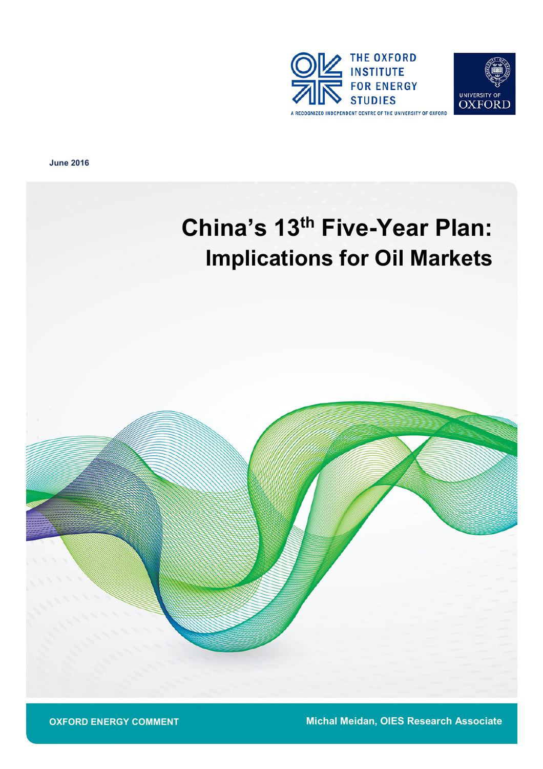



**June 2016**





**Michal Meidan, OIES Research Associate**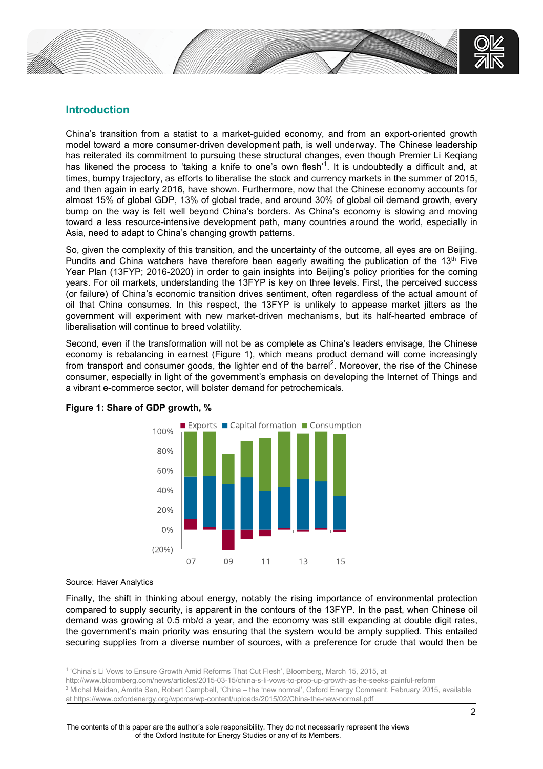

# **Introduction**

China's transition from a statist to a market-guided economy, and from an export-oriented growth model toward a more consumer-driven development path, is well underway. The Chinese leadership has reiterated its commitment to pursuing these structural changes, even though Premier Li Keqiang has likened the process to 'taking a knife to one's own flesh'<sup>1</sup>. It is undoubtedly a difficult and, at times, bumpy trajectory, as efforts to liberalise the stock and currency markets in the summer of 2015, and then again in early 2016, have shown. Furthermore, now that the Chinese economy accounts for almost 15% of global GDP, 13% of global trade, and around 30% of global oil demand growth, every bump on the way is felt well beyond China's borders. As China's economy is slowing and moving toward a less resource-intensive development path, many countries around the world, especially in Asia, need to adapt to China's changing growth patterns.

So, given the complexity of this transition, and the uncertainty of the outcome, all eyes are on Beijing. Pundits and China watchers have therefore been eagerly awaiting the publication of the  $13<sup>th</sup>$  Five Year Plan (13FYP; 2016-2020) in order to gain insights into Beijing's policy priorities for the coming years. For oil markets, understanding the 13FYP is key on three levels. First, the perceived success (or failure) of China's economic transition drives sentiment, often regardless of the actual amount of oil that China consumes. In this respect, the 13FYP is unlikely to appease market jitters as the government will experiment with new market-driven mechanisms, but its half-hearted embrace of liberalisation will continue to breed volatility.

Second, even if the transformation will not be as complete as China's leaders envisage, the Chinese economy is rebalancing in earnest (Figure 1), which means product demand will come increasingly from transport and consumer goods, the lighter end of the barrel<sup>2</sup>. Moreover, the rise of the Chinese consumer, especially in light of the government's emphasis on developing the Internet of Things and a vibrant e-commerce sector, will bolster demand for petrochemicals.



## **Figure 1: Share of GDP growth, %**

Source: Haver Analytics

Finally, the shift in thinking about energy, notably the rising importance of environmental protection compared to supply security, is apparent in the contours of the 13FYP. In the past, when Chinese oil demand was growing at 0.5 mb/d a year, and the economy was still expanding at double digit rates, the government's main priority was ensuring that the system would be amply supplied. This entailed securing supplies from a diverse number of sources, with a preference for crude that would then be

1 'China's Li Vows to Ensure Growth Amid Reforms That Cut Flesh', Bloomberg, March 15, 2015, at http://www.bloomberg.com/news/articles/2015-03-15/china-s-li-vows-to-prop-up-growth-as-he-seeks-painful-reform <sup>2</sup> Michal Meidan, Amrita Sen, Robert Campbell, 'China – the 'new normal', Oxford Energy Comment, February 2015, available at https://www.oxfordenergy.org/wpcms/wp-content/uploads/2015/02/China-the-new-normal.pdf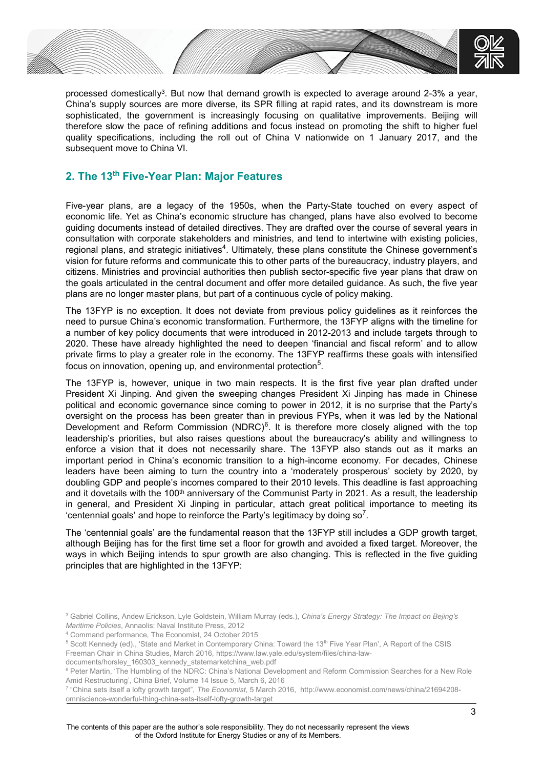

processed domestically<sup>3</sup>. But now that demand growth is expected to average around 2-3% a year, China's supply sources are more diverse, its SPR filling at rapid rates, and its downstream is more sophisticated, the government is increasingly focusing on qualitative improvements. Beijing will therefore slow the pace of refining additions and focus instead on promoting the shift to higher fuel quality specifications, including the roll out of China V nationwide on 1 January 2017, and the subsequent move to China VI.

# **2. The 13th Five-Year Plan: Major Features**

Five-year plans, are a legacy of the 1950s, when the Party-State touched on every aspect of economic life. Yet as China's economic structure has changed, plans have also evolved to become guiding documents instead of detailed directives. They are drafted over the course of several years in consultation with corporate stakeholders and ministries, and tend to intertwine with existing policies, regional plans, and strategic initiatives<sup>4</sup>. Ultimately, these plans constitute the Chinese government's vision for future reforms and communicate this to other parts of the bureaucracy, industry players, and citizens. Ministries and provincial authorities then publish sector-specific five year plans that draw on the goals articulated in the central document and offer more detailed guidance. As such, the five year plans are no longer master plans, but part of a continuous cycle of policy making.

The 13FYP is no exception. It does not deviate from previous policy guidelines as it reinforces the need to pursue China's economic transformation. Furthermore, the 13FYP aligns with the timeline for a number of key policy documents that were introduced in 2012-2013 and include targets through to 2020. These have already highlighted the need to deepen 'financial and fiscal reform' and to allow private firms to play a greater role in the economy. The 13FYP reaffirms these goals with intensified focus on innovation, opening up, and environmental protection<sup>5</sup>.

The 13FYP is, however, unique in two main respects. It is the first five year plan drafted under President Xi Jinping. And given the sweeping changes President Xi Jinping has made in Chinese political and economic governance since coming to power in 2012, it is no surprise that the Party's oversight on the process has been greater than in previous FYPs, when it was led by the National Development and Reform Commission (NDRC)<sup>6</sup>. It is therefore more closely aligned with the top leadership's priorities, but also raises questions about the bureaucracy's ability and willingness to enforce a vision that it does not necessarily share. The 13FYP also stands out as it marks an important period in China's economic transition to a high-income economy. For decades, Chinese leaders have been aiming to turn the country into a 'moderately prosperous' society by 2020, by doubling GDP and people's incomes compared to their 2010 levels. This deadline is fast approaching and it dovetails with the 100<sup>th</sup> anniversary of the Communist Party in 2021. As a result, the leadership in general, and President Xi Jinping in particular, attach great political importance to meeting its 'centennial goals' and hope to reinforce the Party's legitimacy by doing so<sup>7</sup>.

The 'centennial goals' are the fundamental reason that the 13FYP still includes a GDP growth target, although Beijing has for the first time set a floor for growth and avoided a fixed target. Moreover, the ways in which Beijing intends to spur growth are also changing. This is reflected in the five guiding principles that are highlighted in the 13FYP:

Freeman Chair in China Studies, March 2016, https://www.law.yale.edu/system/files/china-lawdocuments/horsley\_160303\_kennedy\_statemarketchina\_web.pdf

<sup>3</sup> Gabriel Collins, Andew Erickson, Lyle Goldstein, William Murray (eds.), *China's Energy Strategy: The Impact on Bejing's Maritime Policies*, Annaolis: Naval Institute Press, 2012

<sup>4</sup> Command performance, The Economist, 24 October 2015

<sup>&</sup>lt;sup>5</sup> Scott Kennedy (ed)., 'State and Market in Contemporary China: Toward the 13<sup>th</sup> Five Year Plan', A Report of the CSIS

<sup>&</sup>lt;sup>6</sup> Peter Martin, 'The Humbling of the NDRC: China's National Development and Reform Commission Searches for a New Role Amid Restructuring', China Brief, Volume 14 Issue 5, March 6, 2016

<sup>7</sup> "China sets itself a lofty growth target", *The Economist*, 5 March 2016, http://www.economist.com/news/china/21694208 omniscience-wonderful-thing-china-sets-itself-lofty-growth-target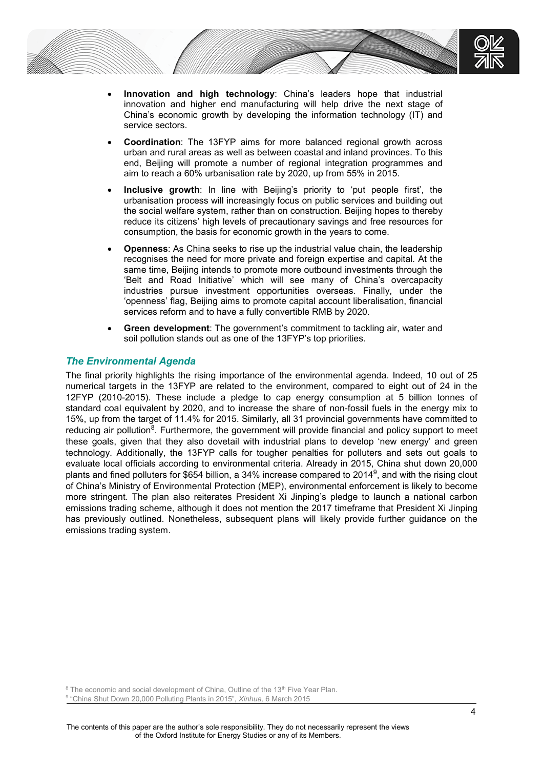

- **Innovation and high technology**: China's leaders hope that industrial innovation and higher end manufacturing will help drive the next stage of China's economic growth by developing the information technology (IT) and service sectors.
- **Coordination**: The 13FYP aims for more balanced regional growth across urban and rural areas as well as between coastal and inland provinces. To this end, Beijing will promote a number of regional integration programmes and aim to reach a 60% urbanisation rate by 2020, up from 55% in 2015.
- **Inclusive growth**: In line with Beijing's priority to 'put people first', the urbanisation process will increasingly focus on public services and building out the social welfare system, rather than on construction. Beijing hopes to thereby reduce its citizens' high levels of precautionary savings and free resources for consumption, the basis for economic growth in the years to come.
- **Openness**: As China seeks to rise up the industrial value chain, the leadership recognises the need for more private and foreign expertise and capital. At the same time, Beijing intends to promote more outbound investments through the 'Belt and Road Initiative' which will see many of China's overcapacity industries pursue investment opportunities overseas. Finally, under the 'openness' flag, Beijing aims to promote capital account liberalisation, financial services reform and to have a fully convertible RMB by 2020.
- **Green development**: The government's commitment to tackling air, water and soil pollution stands out as one of the 13FYP's top priorities.

## *The Environmental Agenda*

The final priority highlights the rising importance of the environmental agenda. Indeed, 10 out of 25 numerical targets in the 13FYP are related to the environment, compared to eight out of 24 in the 12FYP (2010-2015). These include a pledge to cap energy consumption at 5 billion tonnes of standard coal equivalent by 2020, and to increase the share of non-fossil fuels in the energy mix to 15%, up from the target of 11.4% for 2015. Similarly, all 31 provincial governments have committed to reducing air pollution<sup>8</sup>. Furthermore, the government will provide financial and policy support to meet these goals, given that they also dovetail with industrial plans to develop 'new energy' and green technology. Additionally, the 13FYP calls for tougher penalties for polluters and sets out goals to evaluate local officials according to environmental criteria. Already in 2015, China shut down 20,000 plants and fined polluters for \$654 billion, a 34% increase compared to 2014<sup>9</sup>, and with the rising clout of China's Ministry of Environmental Protection (MEP), environmental enforcement is likely to become more stringent. The plan also reiterates President Xi Jinping's pledge to launch a national carbon emissions trading scheme, although it does not mention the 2017 timeframe that President Xi Jinping has previously outlined. Nonetheless, subsequent plans will likely provide further guidance on the emissions trading system.

<sup>8</sup> The economic and social development of China, Outline of the 13<sup>th</sup> Five Year Plan. 9 "China Shut Down 20,000 Polluting Plants in 2015", *Xinhua,* 6 March 2015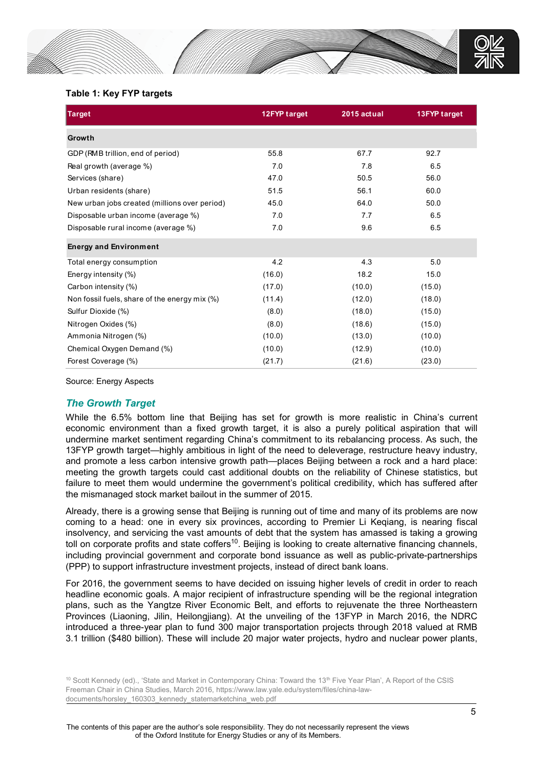

### **Table 1: Key FYP targets**

| <b>Target</b>                                 | 12FYP target | 2015 actual | 13FYP target |
|-----------------------------------------------|--------------|-------------|--------------|
| Growth                                        |              |             |              |
| GDP (RMB trillion, end of period)             | 55.8         | 67.7        | 92.7         |
| Real growth (average %)                       | 7.0          | 7.8         | 6.5          |
| Services (share)                              | 47.0         | 50.5        | 56.0         |
| Urban residents (share)                       | 51.5         | 56.1        | 60.0         |
| New urban jobs created (millions over period) | 45.0         | 64.0        | 50.0         |
| Disposable urban income (average %)           | 7.0          | 7.7         | 6.5          |
| Disposable rural income (average %)           | 7.0          | 9.6         | 6.5          |
| <b>Energy and Environment</b>                 |              |             |              |
| Total energy consumption                      | 4.2          | 4.3         | 5.0          |
| Energy intensity (%)                          | (16.0)       | 18.2        | 15.0         |
| Carbon intensity (%)                          | (17.0)       | (10.0)      | (15.0)       |
| Non fossil fuels, share of the energy mix (%) | (11.4)       | (12.0)      | (18.0)       |
| Sulfur Dioxide (%)                            | (8.0)        | (18.0)      | (15.0)       |
| Nitrogen Oxides (%)                           | (8.0)        | (18.6)      | (15.0)       |
| Ammonia Nitrogen (%)                          | (10.0)       | (13.0)      | (10.0)       |
| Chemical Oxygen Demand (%)                    | (10.0)       | (12.9)      | (10.0)       |
| Forest Coverage (%)                           | (21.7)       | (21.6)      | (23.0)       |

Source: Energy Aspects

# *The Growth Target*

While the 6.5% bottom line that Beijing has set for growth is more realistic in China's current economic environment than a fixed growth target, it is also a purely political aspiration that will undermine market sentiment regarding China's commitment to its rebalancing process. As such, the 13FYP growth target—highly ambitious in light of the need to deleverage, restructure heavy industry, and promote a less carbon intensive growth path—places Beijing between a rock and a hard place: meeting the growth targets could cast additional doubts on the reliability of Chinese statistics, but failure to meet them would undermine the government's political credibility, which has suffered after the mismanaged stock market bailout in the summer of 2015.

Already, there is a growing sense that Beijing is running out of time and many of its problems are now coming to a head: one in every six provinces, according to Premier Li Keqiang, is nearing fiscal insolvency, and servicing the vast amounts of debt that the system has amassed is taking a growing toll on corporate profits and state coffers<sup>10</sup>. Beijing is looking to create alternative financing channels, including provincial government and corporate bond issuance as well as public-private-partnerships (PPP) to support infrastructure investment projects, instead of direct bank loans.

For 2016, the government seems to have decided on issuing higher levels of credit in order to reach headline economic goals. A major recipient of infrastructure spending will be the regional integration plans, such as the Yangtze River Economic Belt, and efforts to rejuvenate the three Northeastern Provinces (Liaoning, Jilin, Heilongjiang). At the unveiling of the 13FYP in March 2016, the NDRC introduced a three-year plan to fund 300 major transportation projects through 2018 valued at RMB 3.1 trillion (\$480 billion). These will include 20 major water projects, hydro and nuclear power plants,

<sup>&</sup>lt;sup>10</sup> Scott Kennedy (ed)., 'State and Market in Contemporary China: Toward the 13<sup>th</sup> Five Year Plan', A Report of the CSIS Freeman Chair in China Studies, March 2016, https://www.law.yale.edu/system/files/china-lawdocuments/horsley\_160303\_kennedy\_statemarketchina\_web.pdf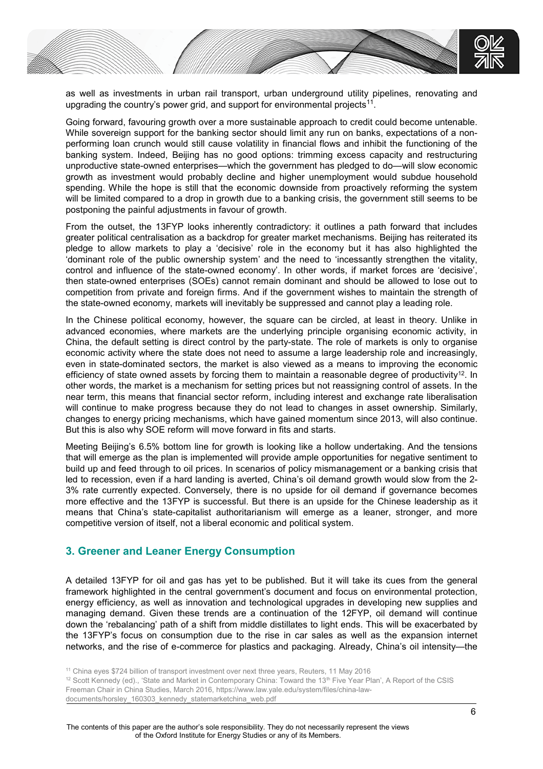

as well as investments in urban rail transport, urban underground utility pipelines, renovating and upgrading the country's power grid, and support for environmental projects<sup>11</sup>.

Going forward, favouring growth over a more sustainable approach to credit could become untenable. While sovereign support for the banking sector should limit any run on banks, expectations of a nonperforming loan crunch would still cause volatility in financial flows and inhibit the functioning of the banking system. Indeed, Beijing has no good options: trimming excess capacity and restructuring unproductive state-owned enterprises—which the government has pledged to do—will slow economic growth as investment would probably decline and higher unemployment would subdue household spending. While the hope is still that the economic downside from proactively reforming the system will be limited compared to a drop in growth due to a banking crisis, the government still seems to be postponing the painful adjustments in favour of growth.

From the outset, the 13FYP looks inherently contradictory: it outlines a path forward that includes greater political centralisation as a backdrop for greater market mechanisms. Beijing has reiterated its pledge to allow markets to play a 'decisive' role in the economy but it has also highlighted the 'dominant role of the public ownership system' and the need to 'incessantly strengthen the vitality, control and influence of the state-owned economy'. In other words, if market forces are 'decisive', then state-owned enterprises (SOEs) cannot remain dominant and should be allowed to lose out to competition from private and foreign firms. And if the government wishes to maintain the strength of the state-owned economy, markets will inevitably be suppressed and cannot play a leading role.

In the Chinese political economy, however, the square can be circled, at least in theory. Unlike in advanced economies, where markets are the underlying principle organising economic activity, in China, the default setting is direct control by the party-state. The role of markets is only to organise economic activity where the state does not need to assume a large leadership role and increasingly, even in state-dominated sectors, the market is also viewed as a means to improving the economic efficiency of state owned assets by forcing them to maintain a reasonable degree of productivity<sup>12</sup>. In other words, the market is a mechanism for setting prices but not reassigning control of assets. In the near term, this means that financial sector reform, including interest and exchange rate liberalisation will continue to make progress because they do not lead to changes in asset ownership. Similarly, changes to energy pricing mechanisms, which have gained momentum since 2013, will also continue. But this is also why SOE reform will move forward in fits and starts.

Meeting Beijing's 6.5% bottom line for growth is looking like a hollow undertaking. And the tensions that will emerge as the plan is implemented will provide ample opportunities for negative sentiment to build up and feed through to oil prices. In scenarios of policy mismanagement or a banking crisis that led to recession, even if a hard landing is averted, China's oil demand growth would slow from the 2- 3% rate currently expected. Conversely, there is no upside for oil demand if governance becomes more effective and the 13FYP is successful. But there is an upside for the Chinese leadership as it means that China's state-capitalist authoritarianism will emerge as a leaner, stronger, and more competitive version of itself, not a liberal economic and political system.

# **3. Greener and Leaner Energy Consumption**

A detailed 13FYP for oil and gas has yet to be published. But it will take its cues from the general framework highlighted in the central government's document and focus on environmental protection, energy efficiency, as well as innovation and technological upgrades in developing new supplies and managing demand. Given these trends are a continuation of the 12FYP, oil demand will continue down the 'rebalancing' path of a shift from middle distillates to light ends. This will be exacerbated by the 13FYP's focus on consumption due to the rise in car sales as well as the expansion internet networks, and the rise of e-commerce for plastics and packaging. Already, China's oil intensity—the

<sup>&</sup>lt;sup>11</sup> China eyes \$724 billion of transport investment over next three years, Reuters, 11 May 2016

 $12$  Scott Kennedy (ed)., 'State and Market in Contemporary China: Toward the 13<sup>th</sup> Five Year Plan', A Report of the CSIS Freeman Chair in China Studies, March 2016, https://www.law.yale.edu/system/files/china-lawdocuments/horsley\_160303\_kennedy\_statemarketchina\_web.pdf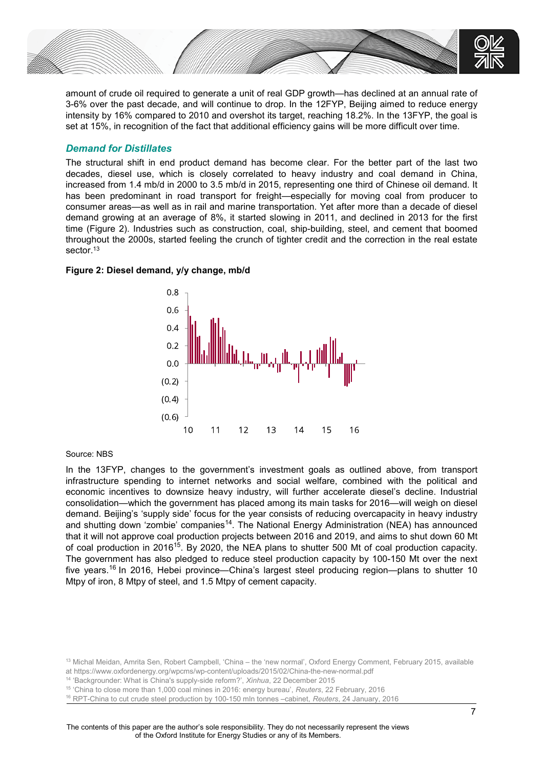

amount of crude oil required to generate a unit of real GDP growth—has declined at an annual rate of 3-6% over the past decade, and will continue to drop. In the 12FYP, Beijing aimed to reduce energy intensity by 16% compared to 2010 and overshot its target, reaching 18.2%. In the 13FYP, the goal is set at 15%, in recognition of the fact that additional efficiency gains will be more difficult over time.

## *Demand for Distillates*

The structural shift in end product demand has become clear. For the better part of the last two decades, diesel use, which is closely correlated to heavy industry and coal demand in China, increased from 1.4 mb/d in 2000 to 3.5 mb/d in 2015, representing one third of Chinese oil demand. It has been predominant in road transport for freight—especially for moving coal from producer to consumer areas—as well as in rail and marine transportation. Yet after more than a decade of diesel demand growing at an average of 8%, it started slowing in 2011, and declined in 2013 for the first time (Figure 2). Industries such as construction, coal, ship-building, steel, and cement that boomed throughout the 2000s, started feeling the crunch of tighter credit and the correction in the real estate sector.<sup>13</sup>

## **Figure 2: Diesel demand, y/y change, mb/d**



### Source: NBS

In the 13FYP, changes to the government's investment goals as outlined above, from transport infrastructure spending to internet networks and social welfare, combined with the political and economic incentives to downsize heavy industry, will further accelerate diesel's decline. Industrial consolidation—which the government has placed among its main tasks for 2016—will weigh on diesel demand. Beijing's 'supply side' focus for the year consists of reducing overcapacity in heavy industry and shutting down 'zombie' companies<sup>14</sup>. The National Energy Administration (NEA) has announced that it will not approve coal production projects between 2016 and 2019, and aims to shut down 60 Mt of coal production in 2016<sup>15</sup>. By 2020, the NEA plans to shutter 500 Mt of coal production capacity. The government has also pledged to reduce steel production capacity by 100-150 Mt over the next five years.<sup>16</sup> In 2016, Hebei province—China's largest steel producing region—plans to shutter 10 Mtpy of iron, 8 Mtpy of steel, and 1.5 Mtpy of cement capacity.

<sup>14</sup> 'Backgrounder: What is China's supply-side reform?', *Xinhua*, 22 December 2015

<sup>15</sup> 'China to close more than 1,000 coal mines in 2016: energy bureau', *Reuters*, 22 February, 2016

<sup>13</sup> Michal Meidan, Amrita Sen, Robert Campbell, 'China – the 'new normal', Oxford Energy Comment, February 2015, available at https://www.oxfordenergy.org/wpcms/wp-content/uploads/2015/02/China-the-new-normal.pdf

<sup>16</sup> RPT-China to cut crude steel production by 100-150 mln tonnes –cabinet, *Reuters*, 24 January, 2016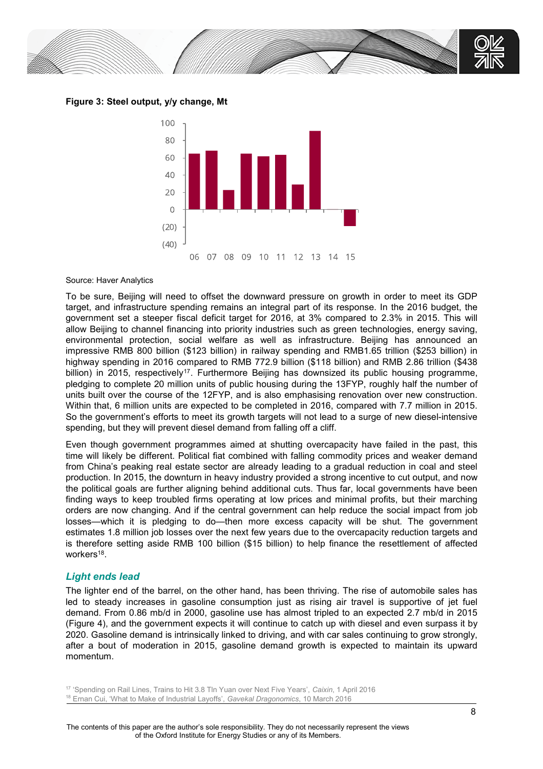

**Figure 3: Steel output, y/y change, Mt**



#### Source: Haver Analytics

To be sure, Beijing will need to offset the downward pressure on growth in order to meet its GDP target, and infrastructure spending remains an integral part of its response. In the 2016 budget, the government set a steeper fiscal deficit target for 2016, at 3% compared to 2.3% in 2015. This will allow Beijing to channel financing into priority industries such as green technologies, energy saving, environmental protection, social welfare as well as infrastructure. Beijing has announced an impressive RMB 800 billion (\$123 billion) in railway spending and RMB1.65 trillion (\$253 billion) in highway spending in 2016 compared to RMB 772.9 billion (\$118 billion) and RMB 2.86 trillion (\$438 billion) in 2015, respectively<sup>17</sup>. Furthermore Beijing has downsized its public housing programme, pledging to complete 20 million units of public housing during the 13FYP, roughly half the number of units built over the course of the 12FYP, and is also emphasising renovation over new construction. Within that, 6 million units are expected to be completed in 2016, compared with 7.7 million in 2015. So the government's efforts to meet its growth targets will not lead to a surge of new diesel-intensive spending, but they will prevent diesel demand from falling off a cliff.

Even though government programmes aimed at shutting overcapacity have failed in the past, this time will likely be different. Political fiat combined with falling commodity prices and weaker demand from China's peaking real estate sector are already leading to a gradual reduction in coal and steel production. In 2015, the downturn in heavy industry provided a strong incentive to cut output, and now the political goals are further aligning behind additional cuts. Thus far, local governments have been finding ways to keep troubled firms operating at low prices and minimal profits, but their marching orders are now changing. And if the central government can help reduce the social impact from job losses—which it is pledging to do—then more excess capacity will be shut. The government estimates 1.8 million job losses over the next few years due to the overcapacity reduction targets and is therefore setting aside RMB 100 billion (\$15 billion) to help finance the resettlement of affected workers<sup>18</sup>.

### *Light ends lead*

The lighter end of the barrel, on the other hand, has been thriving. The rise of automobile sales has led to steady increases in gasoline consumption just as rising air travel is supportive of jet fuel demand. From 0.86 mb/d in 2000, gasoline use has almost tripled to an expected 2.7 mb/d in 2015 (Figure 4), and the government expects it will continue to catch up with diesel and even surpass it by 2020. Gasoline demand is intrinsically linked to driving, and with car sales continuing to grow strongly, after a bout of moderation in 2015, gasoline demand growth is expected to maintain its upward momentum.

<sup>17</sup> 'Spending on Rail Lines, Trains to Hit 3.8 Tln Yuan over Next Five Years', *Caixin*, 1 April 2016 <sup>18</sup> Ernan Cui, 'What to Make of Industrial Layoffs', *Gavekal Dragonomics*, 10 March 2016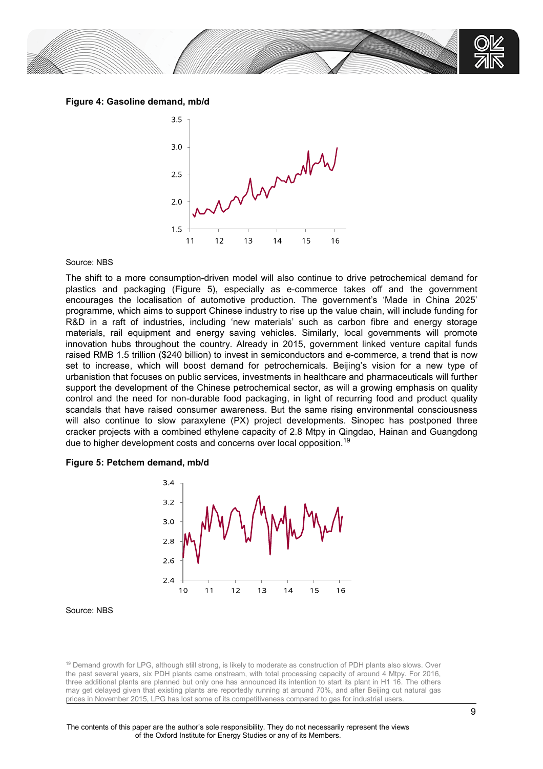

**Figure 4: Gasoline demand, mb/d**



### Source: NBS

The shift to a more consumption-driven model will also continue to drive petrochemical demand for plastics and packaging (Figure 5), especially as e-commerce takes off and the government encourages the localisation of automotive production. The government's 'Made in China 2025' programme, which aims to support Chinese industry to rise up the value chain, will include funding for R&D in a raft of industries, including 'new materials' such as carbon fibre and energy storage materials, rail equipment and energy saving vehicles. Similarly, local governments will promote innovation hubs throughout the country. Already in 2015, government linked venture capital funds raised RMB 1.5 trillion (\$240 billion) to invest in semiconductors and e-commerce, a trend that is now set to increase, which will boost demand for petrochemicals. Beijing's vision for a new type of urbanistion that focuses on public services, investments in healthcare and pharmaceuticals will further support the development of the Chinese petrochemical sector, as will a growing emphasis on quality control and the need for non-durable food packaging, in light of recurring food and product quality scandals that have raised consumer awareness. But the same rising environmental consciousness will also continue to slow paraxylene (PX) project developments. Sinopec has postponed three cracker projects with a combined ethylene capacity of 2.8 Mtpy in Qingdao, Hainan and Guangdong due to higher development costs and concerns over local opposition.<sup>19</sup>

#### **Figure 5: Petchem demand, mb/d**



#### Source: NBS

<sup>19</sup> Demand growth for LPG, although still strong, is likely to moderate as construction of PDH plants also slows. Over the past several years, six PDH plants came onstream, with total processing capacity of around 4 Mtpy. For 2016, three additional plants are planned but only one has announced its intention to start its plant in H1 16. The others may get delayed given that existing plants are reportedly running at around 70%, and after Beijing cut natural gas prices in November 2015, LPG has lost some of its competitiveness compared to gas for industrial users.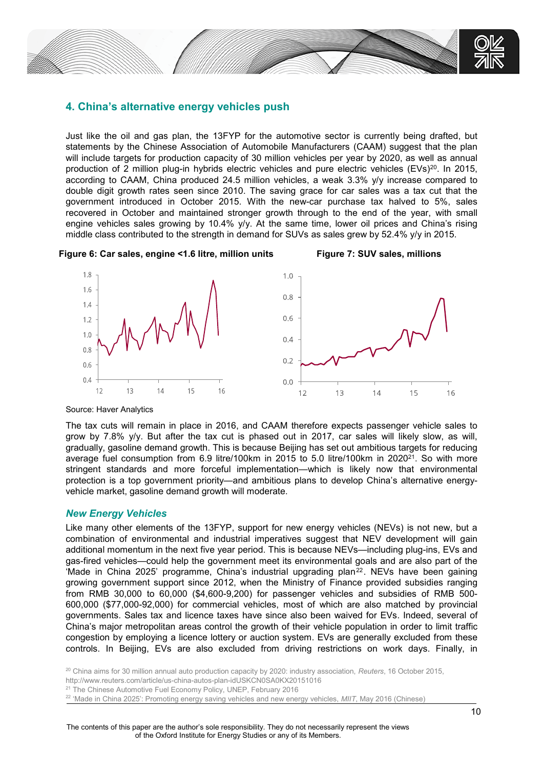

# **4. China's alternative energy vehicles push**

Just like the oil and gas plan, the 13FYP for the automotive sector is currently being drafted, but statements by the Chinese Association of Automobile Manufacturers (CAAM) suggest that the plan will include targets for production capacity of 30 million vehicles per year by 2020, as well as annual production of 2 million plug-in hybrids electric vehicles and pure electric vehicles (EVs)<sup>20</sup>. In 2015, according to CAAM, China produced 24.5 million vehicles, a weak 3.3% y/y increase compared to double digit growth rates seen since 2010. The saving grace for car sales was a tax cut that the government introduced in October 2015. With the new-car purchase tax halved to 5%, sales recovered in October and maintained stronger growth through to the end of the year, with small engine vehicles sales growing by 10.4% y/y. At the same time, lower oil prices and China's rising middle class contributed to the strength in demand for SUVs as sales grew by 52.4% y/y in 2015.

Figure 6: Car sales, engine <1.6 litre, million units Figure 7: SUV sales, millions



Source: Haver Analytics

The tax cuts will remain in place in 2016, and CAAM therefore expects passenger vehicle sales to grow by 7.8% y/y. But after the tax cut is phased out in 2017, car sales will likely slow, as will, gradually, gasoline demand growth. This is because Beijing has set out ambitious targets for reducing average fuel consumption from 6.9 litre/100km in 2015 to 5.0 litre/100km in 2020<sup>21</sup>. So with more stringent standards and more forceful implementation—which is likely now that environmental protection is a top government priority—and ambitious plans to develop China's alternative energyvehicle market, gasoline demand growth will moderate.

## *New Energy Vehicles*

Like many other elements of the 13FYP, support for new energy vehicles (NEVs) is not new, but a combination of environmental and industrial imperatives suggest that NEV development will gain additional momentum in the next five year period. This is because NEVs—including plug-ins, EVs and gas-fired vehicles—could help the government meet its environmental goals and are also part of the 'Made in China 2025' programme, China's industrial upgrading plan<sup>22</sup>. NEVs have been gaining growing government support since 2012, when the Ministry of Finance provided subsidies ranging from RMB 30,000 to 60,000 (\$4,600-9,200) for passenger vehicles and subsidies of RMB 500- 600,000 (\$77,000-92,000) for commercial vehicles, most of which are also matched by provincial governments. Sales tax and licence taxes have since also been waived for EVs. Indeed, several of China's major metropolitan areas control the growth of their vehicle population in order to limit traffic congestion by employing a licence lottery or auction system. EVs are generally excluded from these controls. In Beijing, EVs are also excluded from driving restrictions on work days. Finally, in

<sup>20</sup> China aims for 30 million annual auto production capacity by 2020: industry association, *Reuters*, 16 October 2015, http://www.reuters.com/article/us-china-autos-plan-idUSKCN0SA0KX20151016 <sup>21</sup> The Chinese Automotive Fuel Economy Policy, UNEP, February 2016

<sup>22</sup> 'Made in China 2025': Promoting energy saving vehicles and new energy vehicles, *MIIT*, May 2016 (Chinese)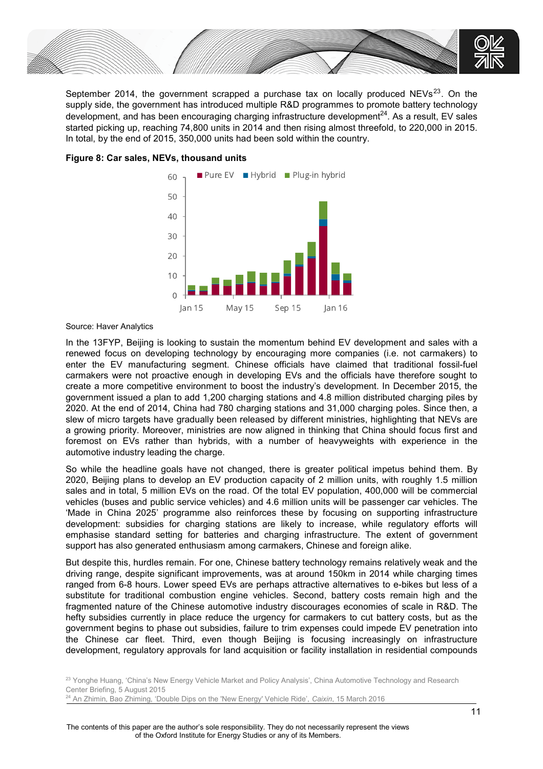

September 2014, the government scrapped a purchase tax on locally produced  $NEVs^{23}$ . On the supply side, the government has introduced multiple R&D programmes to promote battery technology development, and has been encouraging charging infrastructure development $^{24}$ . As a result, EV sales started picking up, reaching 74,800 units in 2014 and then rising almost threefold, to 220,000 in 2015. In total, by the end of 2015, 350,000 units had been sold within the country.



### **Figure 8: Car sales, NEVs, thousand units**

Source: Haver Analytics

In the 13FYP, Beijing is looking to sustain the momentum behind EV development and sales with a renewed focus on developing technology by encouraging more companies (i.e. not carmakers) to enter the EV manufacturing segment. Chinese officials have claimed that traditional fossil-fuel carmakers were not proactive enough in developing EVs and the officials have therefore sought to create a more competitive environment to boost the industry's development. In December 2015, the government issued a plan to add 1,200 charging stations and 4.8 million distributed charging piles by 2020. At the end of 2014, China had 780 charging stations and 31,000 charging poles. Since then, a slew of micro targets have gradually been released by different ministries, highlighting that NEVs are a growing priority. Moreover, ministries are now aligned in thinking that China should focus first and foremost on EVs rather than hybrids, with a number of heavyweights with experience in the automotive industry leading the charge.

So while the headline goals have not changed, there is greater political impetus behind them. By 2020, Beijing plans to develop an EV production capacity of 2 million units, with roughly 1.5 million sales and in total, 5 million EVs on the road. Of the total EV population, 400,000 will be commercial vehicles (buses and public service vehicles) and 4.6 million units will be passenger car vehicles. The 'Made in China 2025' programme also reinforces these by focusing on supporting infrastructure development: subsidies for charging stations are likely to increase, while regulatory efforts will emphasise standard setting for batteries and charging infrastructure. The extent of government support has also generated enthusiasm among carmakers, Chinese and foreign alike.

But despite this, hurdles remain. For one, Chinese battery technology remains relatively weak and the driving range, despite significant improvements, was at around 150km in 2014 while charging times ranged from 6-8 hours. Lower speed EVs are perhaps attractive alternatives to e-bikes but less of a substitute for traditional combustion engine vehicles. Second, battery costs remain high and the fragmented nature of the Chinese automotive industry discourages economies of scale in R&D. The hefty subsidies currently in place reduce the urgency for carmakers to cut battery costs, but as the government begins to phase out subsidies, failure to trim expenses could impede EV penetration into the Chinese car fleet. Third, even though Beijing is focusing increasingly on infrastructure development, regulatory approvals for land acquisition or facility installation in residential compounds

<sup>23</sup> Yonghe Huang, 'China's New Energy Vehicle Market and Policy Analysis', China Automotive Technology and Research Center Briefing, 5 August 2015

<sup>24</sup> An Zhimin, Bao Zhiming, 'Double Dips on the 'New Energy' Vehicle Ride', *Caixin*, 15 March 2016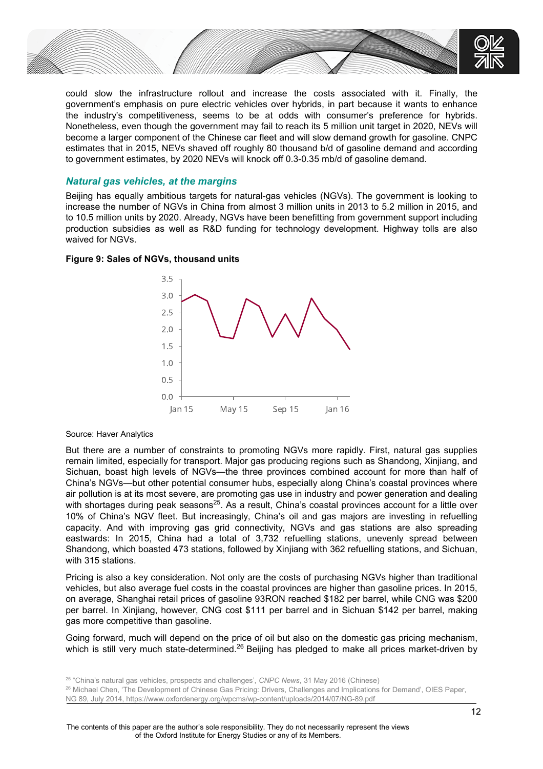

could slow the infrastructure rollout and increase the costs associated with it. Finally, the government's emphasis on pure electric vehicles over hybrids, in part because it wants to enhance the industry's competitiveness, seems to be at odds with consumer's preference for hybrids. Nonetheless, even though the government may fail to reach its 5 million unit target in 2020, NEVs will become a larger component of the Chinese car fleet and will slow demand growth for gasoline. CNPC estimates that in 2015, NEVs shaved off roughly 80 thousand b/d of gasoline demand and according to government estimates, by 2020 NEVs will knock off 0.3-0.35 mb/d of gasoline demand.

### *Natural gas vehicles, at the margins*

Beijing has equally ambitious targets for natural-gas vehicles (NGVs). The government is looking to increase the number of NGVs in China from almost 3 million units in 2013 to 5.2 million in 2015, and to 10.5 million units by 2020. Already, NGVs have been benefitting from government support including production subsidies as well as R&D funding for technology development. Highway tolls are also waived for NGVs.

### **Figure 9: Sales of NGVs, thousand units**



Source: Haver Analytics

But there are a number of constraints to promoting NGVs more rapidly. First, natural gas supplies remain limited, especially for transport. Major gas producing regions such as Shandong, Xinjiang, and Sichuan, boast high levels of NGVs—the three provinces combined account for more than half of China's NGVs—but other potential consumer hubs, especially along China's coastal provinces where air pollution is at its most severe, are promoting gas use in industry and power generation and dealing with shortages during peak seasons<sup>25</sup>. As a result, China's coastal provinces account for a little over 10% of China's NGV fleet. But increasingly, China's oil and gas majors are investing in refuelling capacity. And with improving gas grid connectivity, NGVs and gas stations are also spreading eastwards: In 2015, China had a total of 3,732 refuelling stations, unevenly spread between Shandong, which boasted 473 stations, followed by Xinjiang with 362 refuelling stations, and Sichuan, with 315 stations.

Pricing is also a key consideration. Not only are the costs of purchasing NGVs higher than traditional vehicles, but also average fuel costs in the coastal provinces are higher than gasoline prices. In 2015, on average, Shanghai retail prices of gasoline 93RON reached \$182 per barrel, while CNG was \$200 per barrel. In Xinjiang, however, CNG cost \$111 per barrel and in Sichuan \$142 per barrel, making gas more competitive than gasoline.

Going forward, much will depend on the price of oil but also on the domestic gas pricing mechanism, which is still very much state-determined.<sup>26</sup> Beijing has pledged to make all prices market-driven by

<sup>26</sup> Michael Chen, 'The Development of Chinese Gas Pricing: Drivers, Challenges and Implications for Demand', OIES Paper, NG 89, July 2014, https://www.oxfordenergy.org/wpcms/wp-content/uploads/2014/07/NG-89.pdf

<sup>25</sup> "China's natural gas vehicles, prospects and challenges', *CNPC News*, 31 May 2016 (Chinese)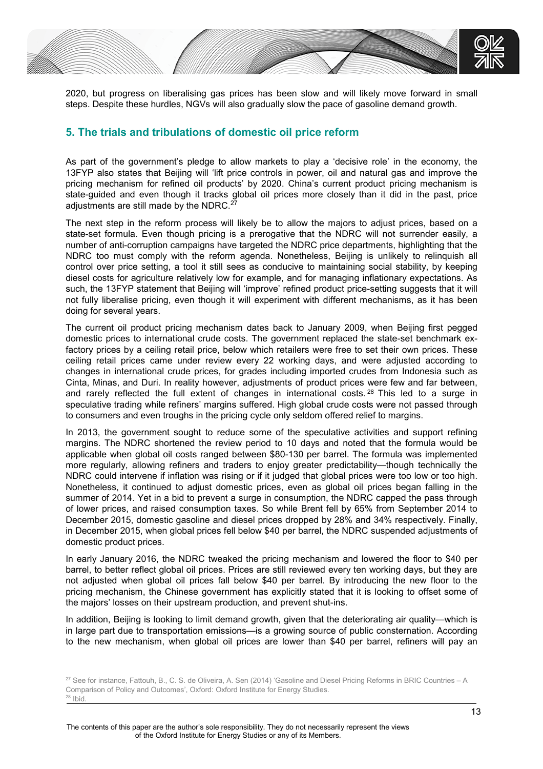

2020, but progress on liberalising gas prices has been slow and will likely move forward in small steps. Despite these hurdles, NGVs will also gradually slow the pace of gasoline demand growth.

# **5. The trials and tribulations of domestic oil price reform**

As part of the government's pledge to allow markets to play a 'decisive role' in the economy, the 13FYP also states that Beijing will 'lift price controls in power, oil and natural gas and improve the pricing mechanism for refined oil products' by 2020. China's current product pricing mechanism is state-guided and even though it tracks global oil prices more closely than it did in the past, price adjustments are still made by the NDRC. $^{27}$ 

The next step in the reform process will likely be to allow the majors to adjust prices, based on a state-set formula. Even though pricing is a prerogative that the NDRC will not surrender easily, a number of anti-corruption campaigns have targeted the NDRC price departments, highlighting that the NDRC too must comply with the reform agenda. Nonetheless, Beijing is unlikely to relinquish all control over price setting, a tool it still sees as conducive to maintaining social stability, by keeping diesel costs for agriculture relatively low for example, and for managing inflationary expectations. As such, the 13FYP statement that Beijing will 'improve' refined product price-setting suggests that it will not fully liberalise pricing, even though it will experiment with different mechanisms, as it has been doing for several years.

The current oil product pricing mechanism dates back to January 2009, when Beijing first pegged domestic prices to international crude costs. The government replaced the state-set benchmark exfactory prices by a ceiling retail price, below which retailers were free to set their own prices. These ceiling retail prices came under review every 22 working days, and were adjusted according to changes in international crude prices, for grades including imported crudes from Indonesia such as Cinta, Minas, and Duri. In reality however, adjustments of product prices were few and far between, and rarely reflected the full extent of changes in international costs. <sup>28</sup> This led to a surge in speculative trading while refiners' margins suffered. High global crude costs were not passed through to consumers and even troughs in the pricing cycle only seldom offered relief to margins.

In 2013, the government sought to reduce some of the speculative activities and support refining margins. The NDRC shortened the review period to 10 days and noted that the formula would be applicable when global oil costs ranged between \$80-130 per barrel. The formula was implemented more regularly, allowing refiners and traders to enjoy greater predictability—though technically the NDRC could intervene if inflation was rising or if it judged that global prices were too low or too high. Nonetheless, it continued to adjust domestic prices, even as global oil prices began falling in the summer of 2014. Yet in a bid to prevent a surge in consumption, the NDRC capped the pass through of lower prices, and raised consumption taxes. So while Brent fell by 65% from September 2014 to December 2015, domestic gasoline and diesel prices dropped by 28% and 34% respectively. Finally, in December 2015, when global prices fell below \$40 per barrel, the NDRC suspended adjustments of domestic product prices.

In early January 2016, the NDRC tweaked the pricing mechanism and lowered the floor to \$40 per barrel, to better reflect global oil prices. Prices are still reviewed every ten working days, but they are not adjusted when global oil prices fall below \$40 per barrel. By introducing the new floor to the pricing mechanism, the Chinese government has explicitly stated that it is looking to offset some of the majors' losses on their upstream production, and prevent shut-ins.

In addition, Beijing is looking to limit demand growth, given that the deteriorating air quality—which is in large part due to transportation emissions—is a growing source of public consternation. According to the new mechanism, when global oil prices are lower than \$40 per barrel, refiners will pay an

<sup>&</sup>lt;sup>27</sup> See for instance, Fattouh, B., C. S. de Oliveira, A. Sen (2014) 'Gasoline and Diesel Pricing Reforms in BRIC Countries - A Comparison of Policy and Outcomes', Oxford: Oxford Institute for Energy Studies. <sup>28</sup> Ibid.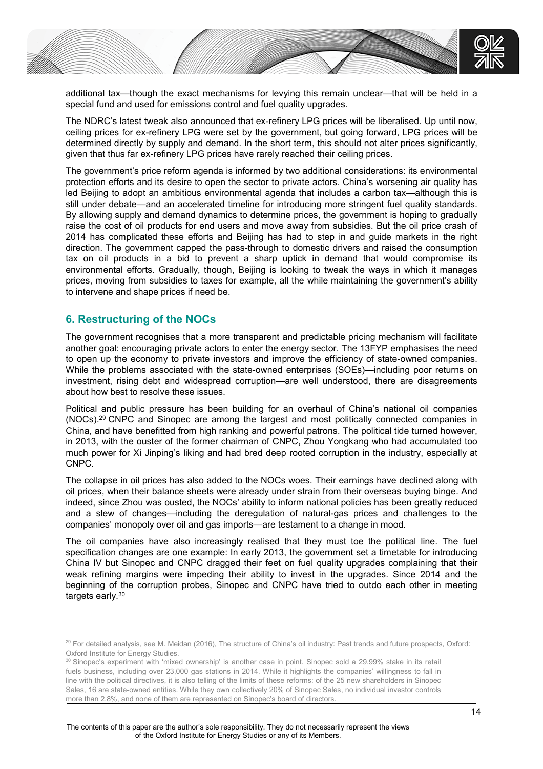

additional tax—though the exact mechanisms for levying this remain unclear—that will be held in a special fund and used for emissions control and fuel quality upgrades.

The NDRC's latest tweak also announced that ex-refinery LPG prices will be liberalised. Up until now, ceiling prices for ex-refinery LPG were set by the government, but going forward, LPG prices will be determined directly by supply and demand. In the short term, this should not alter prices significantly, given that thus far ex-refinery LPG prices have rarely reached their ceiling prices.

The government's price reform agenda is informed by two additional considerations: its environmental protection efforts and its desire to open the sector to private actors. China's worsening air quality has led Beijing to adopt an ambitious environmental agenda that includes a carbon tax—although this is still under debate—and an accelerated timeline for introducing more stringent fuel quality standards. By allowing supply and demand dynamics to determine prices, the government is hoping to gradually raise the cost of oil products for end users and move away from subsidies. But the oil price crash of 2014 has complicated these efforts and Beijing has had to step in and guide markets in the right direction. The government capped the pass-through to domestic drivers and raised the consumption tax on oil products in a bid to prevent a sharp uptick in demand that would compromise its environmental efforts. Gradually, though, Beijing is looking to tweak the ways in which it manages prices, moving from subsidies to taxes for example, all the while maintaining the government's ability to intervene and shape prices if need be.

# **6. Restructuring of the NOCs**

The government recognises that a more transparent and predictable pricing mechanism will facilitate another goal: encouraging private actors to enter the energy sector. The 13FYP emphasises the need to open up the economy to private investors and improve the efficiency of state-owned companies. While the problems associated with the state-owned enterprises (SOEs)—including poor returns on investment, rising debt and widespread corruption—are well understood, there are disagreements about how best to resolve these issues.

Political and public pressure has been building for an overhaul of China's national oil companies (NOCs).<sup>29</sup> CNPC and Sinopec are among the largest and most politically connected companies in China, and have benefitted from high ranking and powerful patrons. The political tide turned however, in 2013, with the ouster of the former chairman of CNPC, Zhou Yongkang who had accumulated too much power for Xi Jinping's liking and had bred deep rooted corruption in the industry, especially at CNPC.

The collapse in oil prices has also added to the NOCs woes. Their earnings have declined along with oil prices, when their balance sheets were already under strain from their overseas buying binge. And indeed, since Zhou was ousted, the NOCs' ability to inform national policies has been greatly reduced and a slew of changes—including the deregulation of natural-gas prices and challenges to the companies' monopoly over oil and gas imports—are testament to a change in mood.

The oil companies have also increasingly realised that they must toe the political line. The fuel specification changes are one example: In early 2013, the government set a timetable for introducing China IV but Sinopec and CNPC dragged their feet on fuel quality upgrades complaining that their weak refining margins were impeding their ability to invest in the upgrades. Since 2014 and the beginning of the corruption probes, Sinopec and CNPC have tried to outdo each other in meeting targets early.<sup>30</sup>

<sup>&</sup>lt;sup>29</sup> For detailed analysis, see M. Meidan (2016), The structure of China's oil industry: Past trends and future prospects, Oxford: Oxford Institute for Energy Studies.

<sup>&</sup>lt;sup>30</sup> Sinopec's experiment with 'mixed ownership' is another case in point. Sinopec sold a 29.99% stake in its retail fuels business, including over 23,000 gas stations in 2014. While it highlights the companies' willingness to fall in line with the political directives, it is also telling of the limits of these reforms: of the 25 new shareholders in Sinopec Sales, 16 are state-owned entities. While they own collectively 20% of Sinopec Sales, no individual investor controls more than 2.8%, and none of them are represented on Sinopec's board of directors.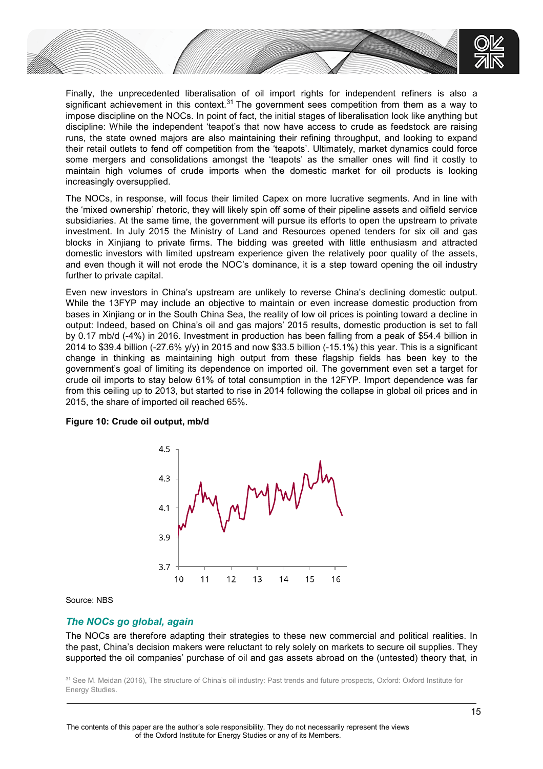

Finally, the unprecedented liberalisation of oil import rights for independent refiners is also a significant achievement in this context.<sup>31</sup> The government sees competition from them as a way to impose discipline on the NOCs. In point of fact, the initial stages of liberalisation look like anything but discipline: While the independent 'teapot's that now have access to crude as feedstock are raising runs, the state owned majors are also maintaining their refining throughput, and looking to expand their retail outlets to fend off competition from the 'teapots'. Ultimately, market dynamics could force some mergers and consolidations amongst the 'teapots' as the smaller ones will find it costly to maintain high volumes of crude imports when the domestic market for oil products is looking increasingly oversupplied.

The NOCs, in response, will focus their limited Capex on more lucrative segments. And in line with the 'mixed ownership' rhetoric, they will likely spin off some of their pipeline assets and oilfield service subsidiaries. At the same time, the government will pursue its efforts to open the upstream to private investment. In July 2015 the Ministry of Land and Resources opened tenders for six oil and gas blocks in Xinjiang to private firms. The bidding was greeted with little enthusiasm and attracted domestic investors with limited upstream experience given the relatively poor quality of the assets, and even though it will not erode the NOC's dominance, it is a step toward opening the oil industry further to private capital.

Even new investors in China's upstream are unlikely to reverse China's declining domestic output. While the 13FYP may include an objective to maintain or even increase domestic production from bases in Xinjiang or in the South China Sea, the reality of low oil prices is pointing toward a decline in output: Indeed, based on China's oil and gas majors' 2015 results, domestic production is set to fall by 0.17 mb/d (-4%) in 2016. Investment in production has been falling from a peak of \$54.4 billion in 2014 to \$39.4 billion (-27.6% y/y) in 2015 and now \$33.5 billion (-15.1%) this year. This is a significant change in thinking as maintaining high output from these flagship fields has been key to the government's goal of limiting its dependence on imported oil. The government even set a target for crude oil imports to stay below 61% of total consumption in the 12FYP. Import dependence was far from this ceiling up to 2013, but started to rise in 2014 following the collapse in global oil prices and in 2015, the share of imported oil reached 65%.

### **Figure 10: Crude oil output, mb/d**



Source: NBS

## *The NOCs go global, again*

The NOCs are therefore adapting their strategies to these new commercial and political realities. In the past, China's decision makers were reluctant to rely solely on markets to secure oil supplies. They supported the oil companies' purchase of oil and gas assets abroad on the (untested) theory that, in

<sup>&</sup>lt;sup>31</sup> See M. Meidan (2016), The structure of China's oil industry: Past trends and future prospects, Oxford: Oxford Institute for Energy Studies.